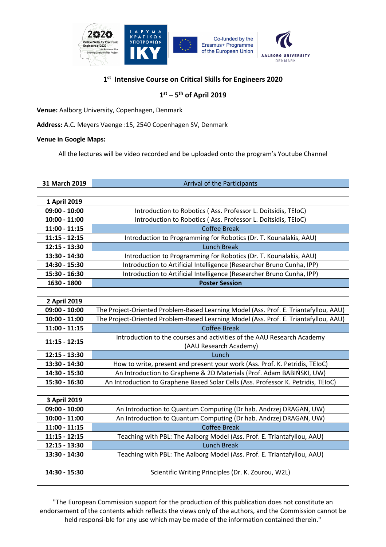

## **1st Intensive Course on Critical Skills for Engineers 2020**

## **1st – 5th of April 2019**

**Venue:** Aalborg University, Copenhagen, Denmark

**Address:** A.C. Meyers Vaenge :15, 2540 Copenhagen SV, Denmark

## **Venue in Google Maps:**

All the lectures will be video recorded and be uploaded onto the program's Youtube Channel

| 31 March 2019   | <b>Arrival of the Participants</b>                                                   |
|-----------------|--------------------------------------------------------------------------------------|
|                 |                                                                                      |
| 1 April 2019    |                                                                                      |
| $09:00 - 10:00$ | Introduction to Robotics (Ass. Professor L. Doitsidis, TEIoC)                        |
| $10:00 - 11:00$ | Introduction to Robotics (Ass. Professor L. Doitsidis, TEIoC)                        |
| $11:00 - 11:15$ | <b>Coffee Break</b>                                                                  |
| $11:15 - 12:15$ | Introduction to Programming for Robotics (Dr. T. Kounalakis, AAU)                    |
| 12:15 - 13:30   | <b>Lunch Break</b>                                                                   |
| 13:30 - 14:30   | Introduction to Programming for Robotics (Dr. T. Kounalakis, AAU)                    |
| 14:30 - 15:30   | Introduction to Artificial Intelligence (Researcher Bruno Cunha, IPP)                |
| 15:30 - 16:30   | Introduction to Artificial Intelligence (Researcher Bruno Cunha, IPP)                |
| 1630 - 1800     | <b>Poster Session</b>                                                                |
|                 |                                                                                      |
| 2 April 2019    |                                                                                      |
| $09:00 - 10:00$ | The Project-Oriented Problem-Based Learning Model (Ass. Prof. E. Triantafyllou, AAU) |
| $10:00 - 11:00$ | The Project-Oriented Problem-Based Learning Model (Ass. Prof. E. Triantafyllou, AAU) |
| $11:00 - 11:15$ | <b>Coffee Break</b>                                                                  |
| $11:15 - 12:15$ | Introduction to the courses and activities of the AAU Research Academy               |
|                 | (AAU Research Academy)                                                               |
| 12:15 - 13:30   | Lunch                                                                                |
| 13:30 - 14:30   | How to write, present and present your work (Ass. Prof. K. Petridis, TEIoC)          |
| 14:30 - 15:30   | An Introduction to Graphene & 2D Materials (Prof. Adam BABIŃSKI, UW)                 |
| 15:30 - 16:30   | An Introduction to Graphene Based Solar Cells (Ass. Professor K. Petridis, TEIoC)    |
|                 |                                                                                      |
| 3 April 2019    |                                                                                      |
| $09:00 - 10:00$ | An Introduction to Quantum Computing (Dr hab. Andrzej DRAGAN, UW)                    |
| $10:00 - 11:00$ | An Introduction to Quantum Computing (Dr hab. Andrzej DRAGAN, UW)                    |
| $11:00 - 11:15$ | <b>Coffee Break</b>                                                                  |
| $11:15 - 12:15$ | Teaching with PBL: The Aalborg Model (Ass. Prof. E. Triantafyllou, AAU)              |
| 12:15 - 13:30   | <b>Lunch Break</b>                                                                   |
| 13:30 - 14:30   | Teaching with PBL: The Aalborg Model (Ass. Prof. E. Triantafyllou, AAU)              |
| 14:30 - 15:30   | Scientific Writing Principles (Dr. K. Zourou, W2L)                                   |

"The European Commission support for the production of this publication does not constitute an endorsement of the contents which reflects the views only of the authors, and the Commission cannot be held responsi-ble for any use which may be made of the information contained therein."